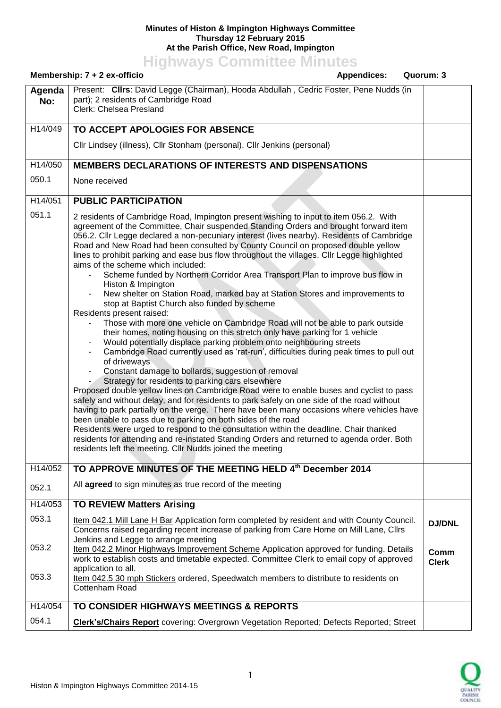## **Minutes of Histon & Impington Highways Committee Thursday 12 February 2015 At the Parish Office, New Road, Impington**

**Highways Committee Minutes**

|                | Membership: 7 + 2 ex-officio<br><b>Appendices:</b><br>Quorum: 3                                                                                                                                                                                                                                                                                                                                                                                                                                                                                                                                                                                                                                                                                                                                                                                                                                                                                                                                                                                                                                                                                                                                                                                                                                                                                                                                                                                                                                                                                                                                                                                                                                                                                                                                                                                   |                      |
|----------------|---------------------------------------------------------------------------------------------------------------------------------------------------------------------------------------------------------------------------------------------------------------------------------------------------------------------------------------------------------------------------------------------------------------------------------------------------------------------------------------------------------------------------------------------------------------------------------------------------------------------------------------------------------------------------------------------------------------------------------------------------------------------------------------------------------------------------------------------------------------------------------------------------------------------------------------------------------------------------------------------------------------------------------------------------------------------------------------------------------------------------------------------------------------------------------------------------------------------------------------------------------------------------------------------------------------------------------------------------------------------------------------------------------------------------------------------------------------------------------------------------------------------------------------------------------------------------------------------------------------------------------------------------------------------------------------------------------------------------------------------------------------------------------------------------------------------------------------------------|----------------------|
| Agenda<br>No:  | Present: Clirs: David Legge (Chairman), Hooda Abdullah, Cedric Foster, Pene Nudds (in<br>part); 2 residents of Cambridge Road<br>Clerk: Chelsea Presland                                                                                                                                                                                                                                                                                                                                                                                                                                                                                                                                                                                                                                                                                                                                                                                                                                                                                                                                                                                                                                                                                                                                                                                                                                                                                                                                                                                                                                                                                                                                                                                                                                                                                          |                      |
| H14/049        | TO ACCEPT APOLOGIES FOR ABSENCE                                                                                                                                                                                                                                                                                                                                                                                                                                                                                                                                                                                                                                                                                                                                                                                                                                                                                                                                                                                                                                                                                                                                                                                                                                                                                                                                                                                                                                                                                                                                                                                                                                                                                                                                                                                                                   |                      |
|                | Cllr Lindsey (illness), Cllr Stonham (personal), Cllr Jenkins (personal)                                                                                                                                                                                                                                                                                                                                                                                                                                                                                                                                                                                                                                                                                                                                                                                                                                                                                                                                                                                                                                                                                                                                                                                                                                                                                                                                                                                                                                                                                                                                                                                                                                                                                                                                                                          |                      |
| H14/050        | MEMBERS DECLARATIONS OF INTERESTS AND DISPENSATIONS                                                                                                                                                                                                                                                                                                                                                                                                                                                                                                                                                                                                                                                                                                                                                                                                                                                                                                                                                                                                                                                                                                                                                                                                                                                                                                                                                                                                                                                                                                                                                                                                                                                                                                                                                                                               |                      |
| 050.1          | None received                                                                                                                                                                                                                                                                                                                                                                                                                                                                                                                                                                                                                                                                                                                                                                                                                                                                                                                                                                                                                                                                                                                                                                                                                                                                                                                                                                                                                                                                                                                                                                                                                                                                                                                                                                                                                                     |                      |
| H14/051        | <b>PUBLIC PARTICIPATION</b>                                                                                                                                                                                                                                                                                                                                                                                                                                                                                                                                                                                                                                                                                                                                                                                                                                                                                                                                                                                                                                                                                                                                                                                                                                                                                                                                                                                                                                                                                                                                                                                                                                                                                                                                                                                                                       |                      |
| 051.1          | 2 residents of Cambridge Road, Impington present wishing to input to item 056.2. With<br>agreement of the Committee, Chair suspended Standing Orders and brought forward item<br>056.2. Cllr Legge declared a non-pecuniary interest (lives nearby). Residents of Cambridge<br>Road and New Road had been consulted by County Council on proposed double yellow<br>lines to prohibit parking and ease bus flow throughout the villages. Cllr Legge highlighted<br>aims of the scheme which included:<br>Scheme funded by Northern Corridor Area Transport Plan to improve bus flow in<br>Histon & Impington<br>New shelter on Station Road, marked bay at Station Stores and improvements to<br>stop at Baptist Church also funded by scheme<br>Residents present raised:<br>Those with more one vehicle on Cambridge Road will not be able to park outside<br>their homes, noting housing on this stretch only have parking for 1 vehicle<br>Would potentially displace parking problem onto neighbouring streets<br>Cambridge Road currently used as 'rat-run', difficulties during peak times to pull out<br>of driveways<br>Constant damage to bollards, suggestion of removal<br>Strategy for residents to parking cars elsewhere<br>Proposed double yellow lines on Cambridge Road were to enable buses and cyclist to pass<br>safely and without delay, and for residents to park safely on one side of the road without<br>having to park partially on the verge. There have been many occasions where vehicles have<br>been unable to pass due to parking on both sides of the road<br>Residents were urged to respond to the consultation within the deadline. Chair thanked<br>residents for attending and re-instated Standing Orders and returned to agenda order. Both<br>residents left the meeting. Cllr Nudds joined the meeting |                      |
| H14/052        | TO APPROVE MINUTES OF THE MEETING HELD 4th December 2014                                                                                                                                                                                                                                                                                                                                                                                                                                                                                                                                                                                                                                                                                                                                                                                                                                                                                                                                                                                                                                                                                                                                                                                                                                                                                                                                                                                                                                                                                                                                                                                                                                                                                                                                                                                          |                      |
| 052.1          | All agreed to sign minutes as true record of the meeting                                                                                                                                                                                                                                                                                                                                                                                                                                                                                                                                                                                                                                                                                                                                                                                                                                                                                                                                                                                                                                                                                                                                                                                                                                                                                                                                                                                                                                                                                                                                                                                                                                                                                                                                                                                          |                      |
| H14/053        | <b>TO REVIEW Matters Arising</b>                                                                                                                                                                                                                                                                                                                                                                                                                                                                                                                                                                                                                                                                                                                                                                                                                                                                                                                                                                                                                                                                                                                                                                                                                                                                                                                                                                                                                                                                                                                                                                                                                                                                                                                                                                                                                  |                      |
| 053.1          | Item 042.1 Mill Lane H Bar Application form completed by resident and with County Council.<br>Concerns raised regarding recent increase of parking from Care Home on Mill Lane, Cllrs<br>Jenkins and Legge to arrange meeting                                                                                                                                                                                                                                                                                                                                                                                                                                                                                                                                                                                                                                                                                                                                                                                                                                                                                                                                                                                                                                                                                                                                                                                                                                                                                                                                                                                                                                                                                                                                                                                                                     | <b>DJ/DNL</b>        |
| 053.2<br>053.3 | Item 042.2 Minor Highways Improvement Scheme Application approved for funding. Details<br>work to establish costs and timetable expected. Committee Clerk to email copy of approved<br>application to all.<br>Item 042.5 30 mph Stickers ordered, Speedwatch members to distribute to residents on<br>Cottenham Road                                                                                                                                                                                                                                                                                                                                                                                                                                                                                                                                                                                                                                                                                                                                                                                                                                                                                                                                                                                                                                                                                                                                                                                                                                                                                                                                                                                                                                                                                                                              | Comm<br><b>Clerk</b> |
| H14/054        | TO CONSIDER HIGHWAYS MEETINGS & REPORTS                                                                                                                                                                                                                                                                                                                                                                                                                                                                                                                                                                                                                                                                                                                                                                                                                                                                                                                                                                                                                                                                                                                                                                                                                                                                                                                                                                                                                                                                                                                                                                                                                                                                                                                                                                                                           |                      |
| 054.1          | <b>Clerk's/Chairs Report</b> covering: Overgrown Vegetation Reported; Defects Reported; Street                                                                                                                                                                                                                                                                                                                                                                                                                                                                                                                                                                                                                                                                                                                                                                                                                                                                                                                                                                                                                                                                                                                                                                                                                                                                                                                                                                                                                                                                                                                                                                                                                                                                                                                                                    |                      |

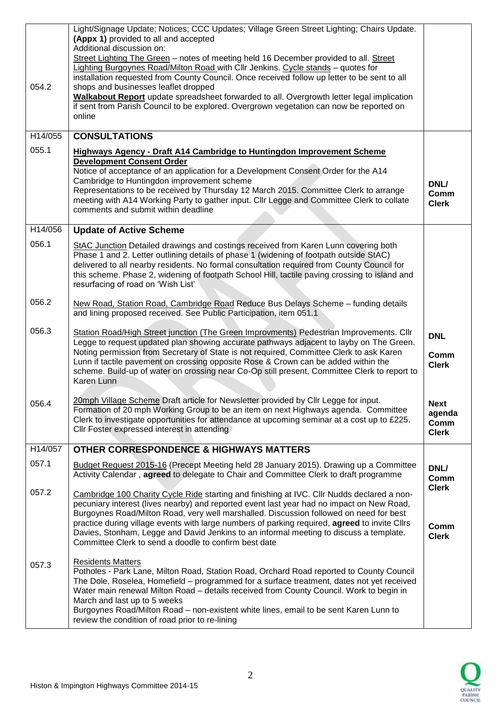| 054.2   | Light/Signage Update; Notices; CCC Updates; Village Green Street Lighting; Chairs Update.<br>(Appx 1) provided to all and accepted<br>Additional discussion on:<br>Street Lighting The Green - notes of meeting held 16 December provided to all. Street<br>Lighting Burgoynes Road/Milton Road with Cllr Jenkins. Cycle stands - quotes for<br>installation requested from County Council. Once received follow up letter to be sent to all<br>shops and businesses leaflet dropped<br>Walkabout Report update spreadsheet forwarded to all. Overgrowth letter legal implication<br>if sent from Parish Council to be explored. Overgrown vegetation can now be reported on |                                        |
|---------|------------------------------------------------------------------------------------------------------------------------------------------------------------------------------------------------------------------------------------------------------------------------------------------------------------------------------------------------------------------------------------------------------------------------------------------------------------------------------------------------------------------------------------------------------------------------------------------------------------------------------------------------------------------------------|----------------------------------------|
|         | online                                                                                                                                                                                                                                                                                                                                                                                                                                                                                                                                                                                                                                                                       |                                        |
| H14/055 | <b>CONSULTATIONS</b>                                                                                                                                                                                                                                                                                                                                                                                                                                                                                                                                                                                                                                                         |                                        |
| 055.1   | <b>Highways Agency - Draft A14 Cambridge to Huntingdon Improvement Scheme</b>                                                                                                                                                                                                                                                                                                                                                                                                                                                                                                                                                                                                |                                        |
|         | <b>Development Consent Order</b><br>Notice of acceptance of an application for a Development Consent Order for the A14<br>Cambridge to Huntingdon improvement scheme<br>Representations to be received by Thursday 12 March 2015. Committee Clerk to arrange<br>meeting with A14 Working Party to gather input. Cllr Legge and Committee Clerk to collate<br>comments and submit within deadline                                                                                                                                                                                                                                                                             | DNL/<br>Comm<br><b>Clerk</b>           |
| H14/056 | <b>Update of Active Scheme</b>                                                                                                                                                                                                                                                                                                                                                                                                                                                                                                                                                                                                                                               |                                        |
| 056.1   | StAC Junction Detailed drawings and costings received from Karen Lunn covering both<br>Phase 1 and 2. Letter outlining details of phase 1 (widening of footpath outside StAC)<br>delivered to all nearby residents. No formal consultation required from County Council for<br>this scheme. Phase 2, widening of footpath School Hill, tactile paving crossing to island and<br>resurfacing of road on 'Wish List'                                                                                                                                                                                                                                                           |                                        |
| 056.2   | New Road, Station Road, Cambridge Road Reduce Bus Delays Scheme - funding details<br>and lining proposed received. See Public Participation, item 051.1                                                                                                                                                                                                                                                                                                                                                                                                                                                                                                                      |                                        |
| 056.3   | Station Road/High Street junction (The Green Improvments) Pedestrian Improvements. Cllr<br>Legge to request updated plan showing accurate pathways adjacent to layby on The Green.<br>Noting permission from Secretary of State is not required, Committee Clerk to ask Karen<br>Lunn if tactile pavement on crossing opposite Rose & Crown can be added within the<br>scheme. Build-up of water on crossing near Co-Op still present, Committee Clerk to report to<br>Karen Lunn                                                                                                                                                                                            | <b>DNL</b><br>Comm<br><b>Clerk</b>     |
| 056.4   | 20mph Village Scheme Draft article for Newsletter provided by Cllr Legge for input.<br>Formation of 20 mph Working Group to be an item on next Highways agenda. Committee<br>Clerk to investigate opportunities for attendance at upcoming seminar at a cost up to £225.<br>CIIr Foster expressed interest in attending                                                                                                                                                                                                                                                                                                                                                      | Next<br>agenda<br>Comm<br><b>Clerk</b> |
| H14/057 | <b>OTHER CORRESPONDENCE &amp; HIGHWAYS MATTERS</b>                                                                                                                                                                                                                                                                                                                                                                                                                                                                                                                                                                                                                           |                                        |
| 057.1   | Budget Request 2015-16 (Precept Meeting held 28 January 2015). Drawing up a Committee<br>Activity Calendar, agreed to delegate to Chair and Committee Clerk to draft programme                                                                                                                                                                                                                                                                                                                                                                                                                                                                                               | DNL/<br>Comm                           |
| 057.2   | Cambridge 100 Charity Cycle Ride starting and finishing at IVC. Cllr Nudds declared a non-<br>pecuniary interest (lives nearby) and reported event last year had no impact on New Road,<br>Burgoynes Road/Milton Road, very well marshalled. Discussion followed on need for best<br>practice during village events with large numbers of parking required, agreed to invite Cllrs<br>Davies, Stonham, Legge and David Jenkins to an informal meeting to discuss a template.<br>Committee Clerk to send a doodle to confirm best date                                                                                                                                        | <b>Clerk</b><br>Comm<br><b>Clerk</b>   |
| 057.3   | <b>Residents Matters</b><br>Potholes - Park Lane, Milton Road, Station Road, Orchard Road reported to County Council<br>The Dole, Roselea, Homefield - programmed for a surface treatment, dates not yet received<br>Water main renewal Milton Road - details received from County Council. Work to begin in<br>March and last up to 5 weeks<br>Burgoynes Road/Milton Road - non-existent white lines, email to be sent Karen Lunn to<br>review the condition of road prior to re-lining                                                                                                                                                                                     |                                        |